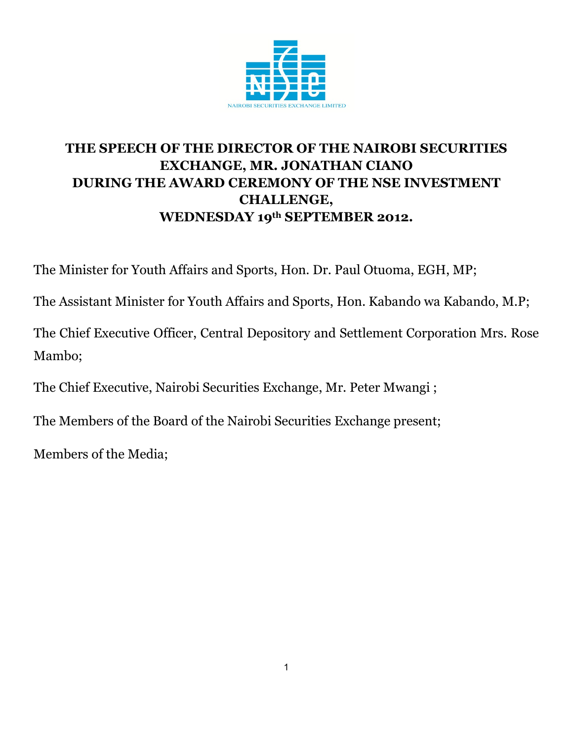

## **THE SPEECH OF THE DIRECTOR OF THE NAIROBI SECURITIES EXCHANGE, MR. JONATHAN CIANO DURING THE AWARD CEREMONY OF THE NSE INVESTMENT CHALLENGE, WEDNESDAY 19th SEPTEMBER 2012.**

The Minister for Youth Affairs and Sports, Hon. Dr. Paul Otuoma, EGH, MP;

The Assistant Minister for Youth Affairs and Sports, Hon. Kabando wa Kabando, M.P;

The Chief Executive Officer, Central Depository and Settlement Corporation Mrs. Rose Mambo;

The Chief Executive, Nairobi Securities Exchange, Mr. Peter Mwangi ;

The Members of the Board of the Nairobi Securities Exchange present;

Members of the Media;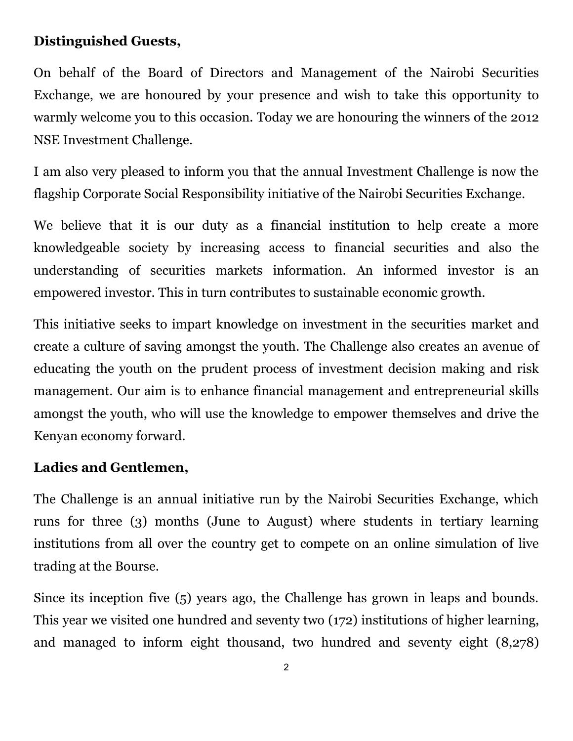## **Distinguished Guests,**

On behalf of the Board of Directors and Management of the Nairobi Securities Exchange, we are honoured by your presence and wish to take this opportunity to warmly welcome you to this occasion. Today we are honouring the winners of the 2012 NSE Investment Challenge.

I am also very pleased to inform you that the annual Investment Challenge is now the flagship Corporate Social Responsibility initiative of the Nairobi Securities Exchange.

We believe that it is our duty as a financial institution to help create a more knowledgeable society by increasing access to financial securities and also the understanding of securities markets information. An informed investor is an empowered investor. This in turn contributes to sustainable economic growth.

This initiative seeks to impart knowledge on investment in the securities market and create a culture of saving amongst the youth. The Challenge also creates an avenue of educating the youth on the prudent process of investment decision making and risk management. Our aim is to enhance financial management and entrepreneurial skills amongst the youth, who will use the knowledge to empower themselves and drive the Kenyan economy forward.

## **Ladies and Gentlemen,**

The Challenge is an annual initiative run by the Nairobi Securities Exchange, which runs for three (3) months (June to August) where students in tertiary learning institutions from all over the country get to compete on an online simulation of live trading at the Bourse.

Since its inception five (5) years ago, the Challenge has grown in leaps and bounds. This year we visited one hundred and seventy two (172) institutions of higher learning, and managed to inform eight thousand, two hundred and seventy eight (8,278)